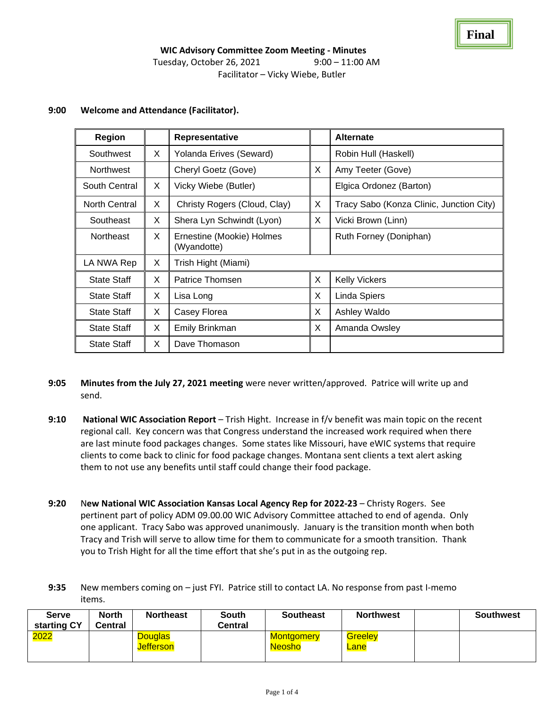| Region             |   | Representative                           |   | <b>Alternate</b>                         |  |  |
|--------------------|---|------------------------------------------|---|------------------------------------------|--|--|
| Southwest          | X | Yolanda Erives (Seward)                  |   | Robin Hull (Haskell)                     |  |  |
| <b>Northwest</b>   |   | Cheryl Goetz (Gove)                      | X | Amy Teeter (Gove)                        |  |  |
| South Central      | X | Vicky Wiebe (Butler)                     |   | Elgica Ordonez (Barton)                  |  |  |
| North Central      | X | Christy Rogers (Cloud, Clay)             | X | Tracy Sabo (Konza Clinic, Junction City) |  |  |
| Southeast          | X | Shera Lyn Schwindt (Lyon)                | X | Vicki Brown (Linn)                       |  |  |
| <b>Northeast</b>   | X | Ernestine (Mookie) Holmes<br>(Wyandotte) |   | Ruth Forney (Doniphan)                   |  |  |
| LA NWA Rep         | Χ | Trish Hight (Miami)                      |   |                                          |  |  |
| <b>State Staff</b> | X | Patrice Thomsen                          | X | <b>Kelly Vickers</b>                     |  |  |
| <b>State Staff</b> | X | Lisa Long                                | X | Linda Spiers                             |  |  |
| <b>State Staff</b> | X | Casey Florea                             | X | Ashley Waldo                             |  |  |
| <b>State Staff</b> | X | Emily Brinkman                           | X | Amanda Owsley                            |  |  |
| <b>State Staff</b> | X | Dave Thomason                            |   |                                          |  |  |

## **9:00 Welcome and Attendance (Facilitator).**

- **9:05 Minutes from the July 27, 2021 meeting** were never written/approved. Patrice will write up and send.
- **9:10 National WIC Association Report** Trish Hight. Increase in f/v benefit was main topic on the recent regional call. Key concern was that Congress understand the increased work required when there are last minute food packages changes. Some states like Missouri, have eWIC systems that require clients to come back to clinic for food package changes. Montana sent clients a text alert asking them to not use any benefits until staff could change their food package.
- **9:20** N**ew National WIC Association Kansas Local Agency Rep for 2022-23** Christy Rogers. See pertinent part of policy ADM 09.00.00 WIC Advisory Committee attached to end of agenda. Only one applicant. Tracy Sabo was approved unanimously. January is the transition month when both Tracy and Trish will serve to allow time for them to communicate for a smooth transition. Thank you to Trish Hight for all the time effort that she's put in as the outgoing rep.
- **9:35** New members coming on just FYI. Patrice still to contact LA. No response from past I-memo items.

| Serve<br>starting CY | <b>North</b><br>Central | <b>Northeast</b>                   | <b>South</b><br>Central | <b>Southeast</b>                   | <b>Northwest</b>       | <b>Southwest</b> |
|----------------------|-------------------------|------------------------------------|-------------------------|------------------------------------|------------------------|------------------|
| 2022                 |                         | <b>Douglas</b><br><b>Jefferson</b> |                         | <b>Montgomery</b><br><b>Neosho</b> | <b>Greelev</b><br>Lane |                  |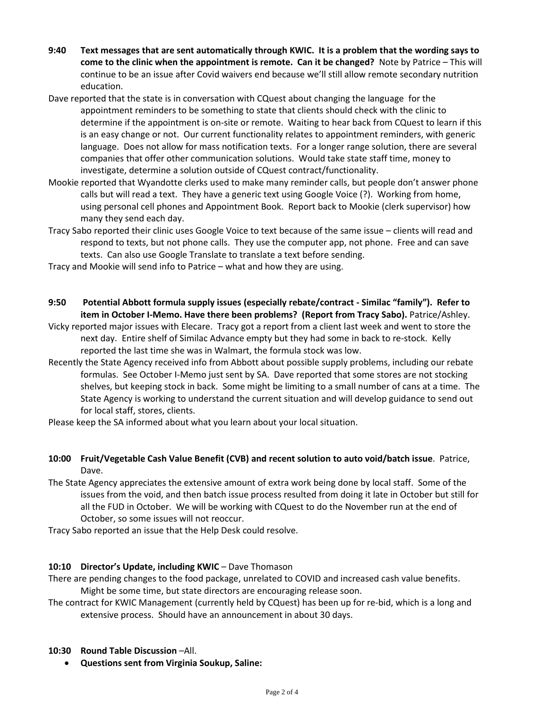- **9:40 Text messages that are sent automatically through KWIC. It is a problem that the wording says to come to the clinic when the appointment is remote. Can it be changed?** Note by Patrice – This will continue to be an issue after Covid waivers end because we'll still allow remote secondary nutrition education.
- Dave reported that the state is in conversation with CQuest about changing the language for the appointment reminders to be something to state that clients should check with the clinic to determine if the appointment is on-site or remote. Waiting to hear back from CQuest to learn if this is an easy change or not. Our current functionality relates to appointment reminders, with generic language. Does not allow for mass notification texts. For a longer range solution, there are several companies that offer other communication solutions. Would take state staff time, money to investigate, determine a solution outside of CQuest contract/functionality.
- Mookie reported that Wyandotte clerks used to make many reminder calls, but people don't answer phone calls but will read a text. They have a generic text using Google Voice (?). Working from home, using personal cell phones and Appointment Book. Report back to Mookie (clerk supervisor) how many they send each day.
- Tracy Sabo reported their clinic uses Google Voice to text because of the same issue clients will read and respond to texts, but not phone calls. They use the computer app, not phone. Free and can save texts. Can also use Google Translate to translate a text before sending.
- Tracy and Mookie will send info to Patrice what and how they are using.
- **9:50 Potential Abbott formula supply issues (especially rebate/contract - Similac "family"). Refer to item in October I-Memo. Have there been problems? (Report from Tracy Sabo).** Patrice/Ashley.
- Vicky reported major issues with Elecare. Tracy got a report from a client last week and went to store the next day. Entire shelf of Similac Advance empty but they had some in back to re-stock. Kelly reported the last time she was in Walmart, the formula stock was low.
- Recently the State Agency received info from Abbott about possible supply problems, including our rebate formulas. See October I-Memo just sent by SA. Dave reported that some stores are not stocking shelves, but keeping stock in back. Some might be limiting to a small number of cans at a time. The State Agency is working to understand the current situation and will develop guidance to send out for local staff, stores, clients.
- Please keep the SA informed about what you learn about your local situation.
- **10:00 Fruit/Vegetable Cash Value Benefit (CVB) and recent solution to auto void/batch issue**. Patrice, Dave.
- The State Agency appreciates the extensive amount of extra work being done by local staff. Some of the issues from the void, and then batch issue process resulted from doing it late in October but still for all the FUD in October. We will be working with CQuest to do the November run at the end of October, so some issues will not reoccur.

Tracy Sabo reported an issue that the Help Desk could resolve.

### **10:10 Director's Update, including KWIC** – Dave Thomason

There are pending changes to the food package, unrelated to COVID and increased cash value benefits. Might be some time, but state directors are encouraging release soon.

The contract for KWIC Management (currently held by CQuest) has been up for re-bid, which is a long and extensive process. Should have an announcement in about 30 days.

### **10:30 Round Table Discussion** –All.

• **Questions sent from Virginia Soukup, Saline:**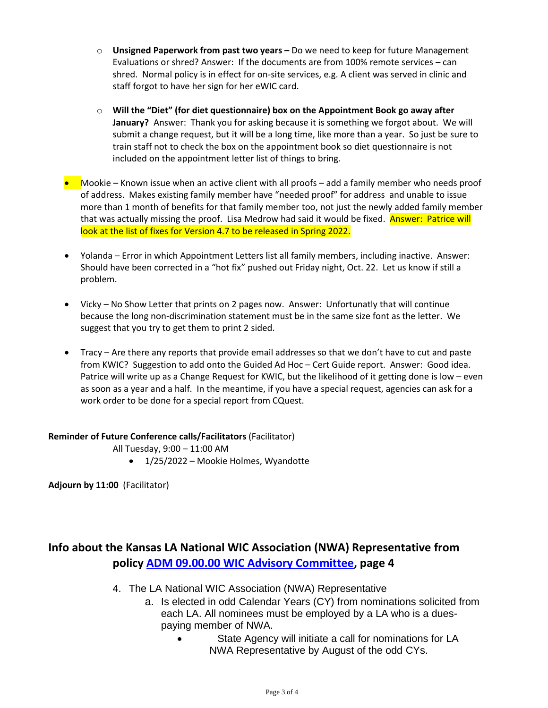- o **Unsigned Paperwork from past two years –** Do we need to keep for future Management Evaluations or shred? Answer: If the documents are from 100% remote services – can shred. Normal policy is in effect for on-site services, e.g. A client was served in clinic and staff forgot to have her sign for her eWIC card.
- o **Will the "Diet" (for diet questionnaire) box on the Appointment Book go away after January?** Answer: Thank you for asking because it is something we forgot about. We will submit a change request, but it will be a long time, like more than a year. So just be sure to train staff not to check the box on the appointment book so diet questionnaire is not included on the appointment letter list of things to bring.
- Mookie Known issue when an active client with all proofs add a family member who needs proof of address. Makes existing family member have "needed proof" for address and unable to issue more than 1 month of benefits for that family member too, not just the newly added family member that was actually missing the proof. Lisa Medrow had said it would be fixed. **Answer: Patrice will** look at the list of fixes for Version 4.7 to be released in Spring 2022.
- Yolanda Error in which Appointment Letters list all family members, including inactive. Answer: Should have been corrected in a "hot fix" pushed out Friday night, Oct. 22. Let us know if still a problem.
- Vicky No Show Letter that prints on 2 pages now. Answer: Unfortunatly that will continue because the long non-discrimination statement must be in the same size font as the letter. We suggest that you try to get them to print 2 sided.
- Tracy Are there any reports that provide email addresses so that we don't have to cut and paste from KWIC? Suggestion to add onto the Guided Ad Hoc – Cert Guide report. Answer: Good idea. Patrice will write up as a Change Request for KWIC, but the likelihood of it getting done is low – even as soon as a year and a half. In the meantime, if you have a special request, agencies can ask for a work order to be done for a special report from CQuest.

### **Reminder of Future Conference calls/Facilitators** (Facilitator)

All Tuesday, 9:00 – 11:00 AM

• 1/25/2022 – Mookie Holmes, Wyandotte

**Adjourn by 11:00** (Facilitator)

# **Info about the Kansas LA National WIC Association (NWA) Representative from policy [ADM 09.00.00 WIC Advisory Committee,](http://www.kansaswic.org/manual/ADM_09_00_00_WIC_Advisory_Committee.pdf) page 4**

- 4. The LA National WIC Association (NWA) Representative
	- a. Is elected in odd Calendar Years (CY) from nominations solicited from each LA. All nominees must be employed by a LA who is a duespaying member of NWA.
		- State Agency will initiate a call for nominations for LA NWA Representative by August of the odd CYs.